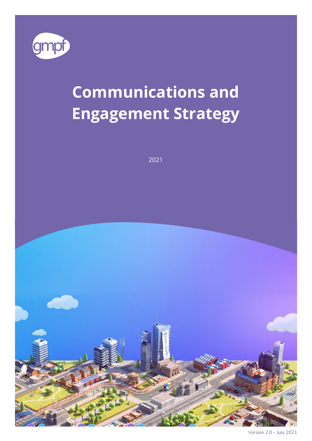

# **Communications and Engagement Strategy**

2021



Version 2.0 – July 2021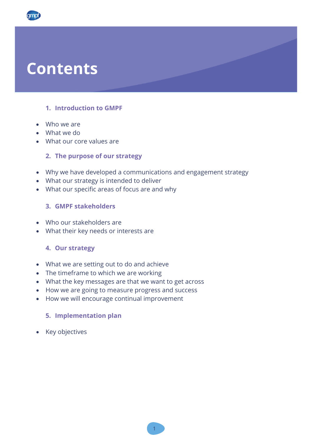## **Contents**

## **1. Introduction to GMPF**

- Who we are
- What we do
- What our core values are

### **2. The purpose of our strategy**

- Why we have developed a communications and engagement strategy
- What our strategy is intended to deliver
- What our specific areas of focus are and why

### **3. GMPF stakeholders**

- Who our stakeholders are
- What their key needs or interests are

#### **4. Our strategy**

- What we are setting out to do and achieve
- The timeframe to which we are working
- What the key messages are that we want to get across
- How we are going to measure progress and success
- How we will encourage continual improvement

#### **5. Implementation plan**

• Key objectives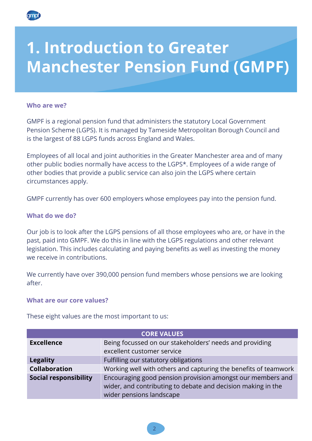

## **1. Introduction to Greater Manchester Pension Fund (GMPF)**

#### **Who are we?**

GMPF is a regional pension fund that administers the statutory Local Government Pension Scheme (LGPS). It is managed by Tameside Metropolitan Borough Council and is the largest of 88 LGPS funds across England and Wales.

Employees of all local and joint authorities in the Greater Manchester area and of many other public bodies normally have access to the LGPS\*. Employees of a wide range of other bodies that provide a public service can also join the LGPS where certain circumstances apply.

GMPF currently has over 600 employers whose employees pay into the pension fund.

#### **What do we do?**

Our job is to look after the LGPS pensions of all those employees who are, or have in the past, paid into GMPF. We do this in line with the LGPS regulations and other relevant legislation. This includes calculating and paying benefits as well as investing the money we receive in contributions.

We currently have over 390,000 pension fund members whose pensions we are looking after.

#### **What are our core values?**

These eight values are the most important to us:

| <b>CORE VALUES</b>           |                                                                 |  |
|------------------------------|-----------------------------------------------------------------|--|
| <b>Excellence</b>            | Being focussed on our stakeholders' needs and providing         |  |
|                              | excellent customer service                                      |  |
| <b>Legality</b>              | Fulfilling our statutory obligations                            |  |
| <b>Collaboration</b>         | Working well with others and capturing the benefits of teamwork |  |
| <b>Social responsibility</b> | Encouraging good pension provision amongst our members and      |  |
|                              | wider, and contributing to debate and decision making in the    |  |
|                              | wider pensions landscape                                        |  |

2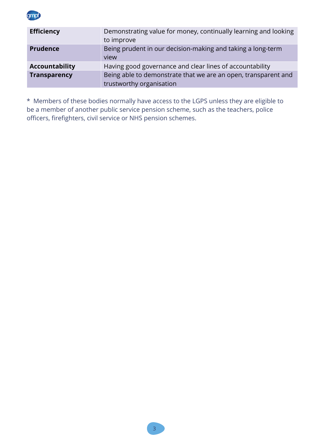amb

| <b>Efficiency</b>     | Demonstrating value for money, continually learning and looking<br>to improve              |
|-----------------------|--------------------------------------------------------------------------------------------|
| <b>Prudence</b>       | Being prudent in our decision-making and taking a long-term<br>view                        |
| <b>Accountability</b> | Having good governance and clear lines of accountability                                   |
| <b>Transparency</b>   | Being able to demonstrate that we are an open, transparent and<br>trustworthy organisation |

\* Members of these bodies normally have access to the LGPS unless they are eligible to be a member of another public service pension scheme, such as the teachers, police officers, firefighters, civil service or NHS pension schemes.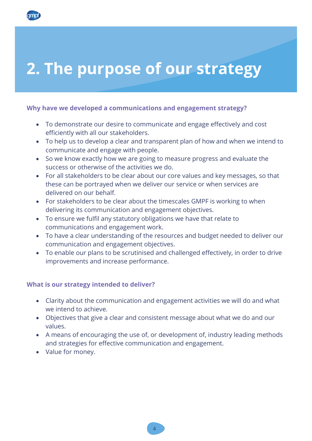# **2. The purpose of our strategy**

### **Why have we developed a communications and engagement strategy?**

- To demonstrate our desire to communicate and engage effectively and cost efficiently with all our stakeholders.
- To help us to develop a clear and transparent plan of how and when we intend to communicate and engage with people.
- So we know exactly how we are going to measure progress and evaluate the success or otherwise of the activities we do.
- For all stakeholders to be clear about our core values and key messages, so that these can be portrayed when we deliver our service or when services are delivered on our behalf.
- For stakeholders to be clear about the timescales GMPF is working to when delivering its communication and engagement objectives.
- To ensure we fulfil any statutory obligations we have that relate to communications and engagement work.
- To have a clear understanding of the resources and budget needed to deliver our communication and engagement objectives.
- To enable our plans to be scrutinised and challenged effectively, in order to drive improvements and increase performance.

#### **What is our strategy intended to deliver?**

- Clarity about the communication and engagement activities we will do and what we intend to achieve.
- Objectives that give a clear and consistent message about what we do and our values.
- A means of encouraging the use of, or development of, industry leading methods and strategies for effective communication and engagement.
- Value for money.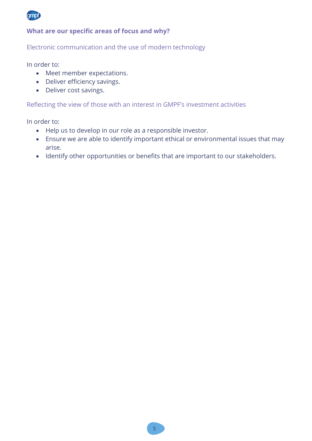

### **What are our specific areas of focus and why?**

#### Electronic communication and the use of modern technology

In order to:

- Meet member expectations.
- Deliver efficiency savings.
- Deliver cost savings.

#### Reflecting the view of those with an interest in GMPF's investment activities

In order to:

- Help us to develop in our role as a responsible investor.
- Ensure we are able to identify important ethical or environmental issues that may arise.
- Identify other opportunities or benefits that are important to our stakeholders.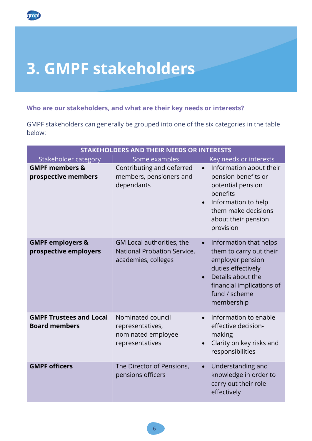# **3. GMPF stakeholders**

ampf

## **Who are our stakeholders, and what are their key needs or interests?**

GMPF stakeholders can generally be grouped into one of the six categories in the table below:

| <b>STAKEHOLDERS AND THEIR NEEDS OR INTERESTS</b>       |                                                                                 |                                                                                                                                                                                           |
|--------------------------------------------------------|---------------------------------------------------------------------------------|-------------------------------------------------------------------------------------------------------------------------------------------------------------------------------------------|
| Stakeholder category                                   | Some examples                                                                   | Key needs or interests                                                                                                                                                                    |
| <b>GMPF members &amp;</b><br>prospective members       | Contributing and deferred<br>members, pensioners and<br>dependants              | Information about their<br>$\bullet$<br>pension benefits or<br>potential pension<br>benefits<br>Information to help<br>them make decisions<br>about their pension<br>provision            |
| <b>GMPF employers &amp;</b><br>prospective employers   | GM Local authorities, the<br>National Probation Service,<br>academies, colleges | Information that helps<br>$\bullet$<br>them to carry out their<br>employer pension<br>duties effectively<br>Details about the<br>financial implications of<br>fund / scheme<br>membership |
| <b>GMPF Trustees and Local</b><br><b>Board members</b> | Nominated council<br>representatives,<br>nominated employee<br>representatives  | Information to enable<br>$\bullet$<br>effective decision-<br>making<br>Clarity on key risks and<br>responsibilities                                                                       |
| <b>GMPF officers</b>                                   | The Director of Pensions,<br>pensions officers                                  | Understanding and<br>$\bullet$<br>knowledge in order to<br>carry out their role<br>effectively                                                                                            |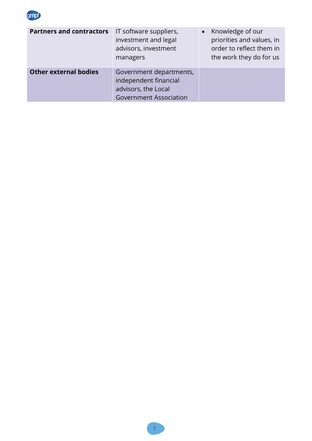

| <b>Partners and contractors</b> | IT software suppliers,<br>investment and legal<br>advisors, investment<br>managers                       | • Knowledge of our<br>priorities and values, in<br>order to reflect them in<br>the work they do for us |
|---------------------------------|----------------------------------------------------------------------------------------------------------|--------------------------------------------------------------------------------------------------------|
| <b>Other external bodies</b>    | Government departments,<br>independent financial<br>advisors, the Local<br><b>Government Association</b> |                                                                                                        |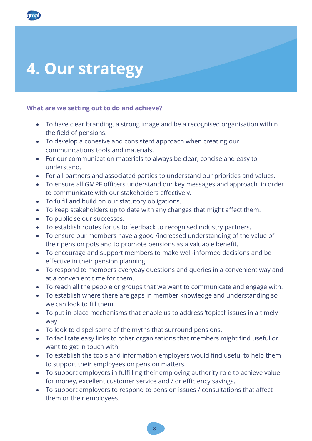## **4. Our strategy**

#### **What are we setting out to do and achieve?**

- To have clear branding, a strong image and be a recognised organisation within the field of pensions.
- To develop a cohesive and consistent approach when creating our communications tools and materials.
- For our communication materials to always be clear, concise and easy to understand.
- For all partners and associated parties to understand our priorities and values.
- To ensure all GMPF officers understand our key messages and approach, in order to communicate with our stakeholders effectively.
- To fulfil and build on our statutory obligations.
- To keep stakeholders up to date with any changes that might affect them.
- To publicise our successes.
- To establish routes for us to feedback to recognised industry partners.
- To ensure our members have a good /increased understanding of the value of their pension pots and to promote pensions as a valuable benefit.
- To encourage and support members to make well-informed decisions and be effective in their pension planning.
- To respond to members everyday questions and queries in a convenient way and at a convenient time for them.
- To reach all the people or groups that we want to communicate and engage with.
- To establish where there are gaps in member knowledge and understanding so we can look to fill them.
- To put in place mechanisms that enable us to address 'topical' issues in a timely way.
- To look to dispel some of the myths that surround pensions.
- To facilitate easy links to other organisations that members might find useful or want to get in touch with.
- To establish the tools and information employers would find useful to help them to support their employees on pension matters.
- To support employers in fulfilling their employing authority role to achieve value for money, excellent customer service and / or efficiency savings.
- To support employers to respond to pension issues / consultations that affect them or their employees.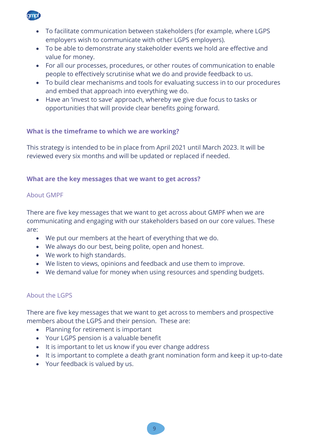

- To facilitate communication between stakeholders (for example, where LGPS employers wish to communicate with other LGPS employers).
- To be able to demonstrate any stakeholder events we hold are effective and value for money.
- For all our processes, procedures, or other routes of communication to enable people to effectively scrutinise what we do and provide feedback to us.
- To build clear mechanisms and tools for evaluating success in to our procedures and embed that approach into everything we do.
- Have an 'invest to save' approach, whereby we give due focus to tasks or opportunities that will provide clear benefits going forward.

## **What is the timeframe to which we are working?**

This strategy is intended to be in place from April 2021 until March 2023. It will be reviewed every six months and will be updated or replaced if needed.

### **What are the key messages that we want to get across?**

### About GMPF

There are five key messages that we want to get across about GMPF when we are communicating and engaging with our stakeholders based on our core values. These are:

- We put our members at the heart of everything that we do.
- We always do our best, being polite, open and honest.
- We work to high standards.
- We listen to views, opinions and feedback and use them to improve.
- We demand value for money when using resources and spending budgets.

## About the LGPS

There are five key messages that we want to get across to members and prospective members about the LGPS and their pension. These are:

- Planning for retirement is important
- Your LGPS pension is a valuable benefit
- It is important to let us know if you ever change address
- It is important to complete a death grant nomination form and keep it up-to-date
- Your feedback is valued by us.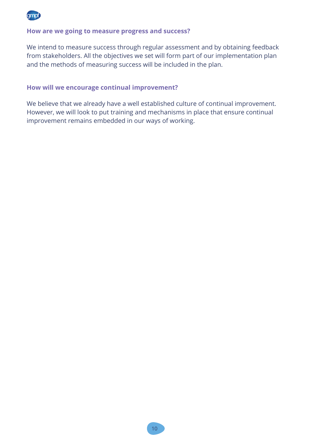

#### **How are we going to measure progress and success?**

We intend to measure success through regular assessment and by obtaining feedback from stakeholders. All the objectives we set will form part of our implementation plan and the methods of measuring success will be included in the plan.

#### **How will we encourage continual improvement?**

We believe that we already have a well established culture of continual improvement. However, we will look to put training and mechanisms in place that ensure continual improvement remains embedded in our ways of working.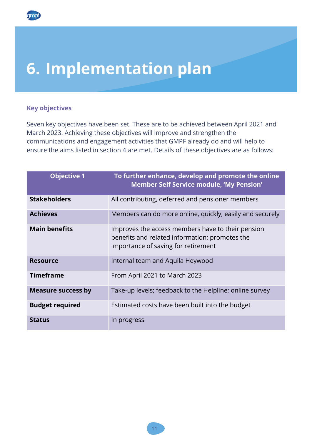## **6. Implementation plan**

### **Key objectives**

**ampt** 

Seven key objectives have been set. These are to be achieved between April 2021 and March 2023. Achieving these objectives will improve and strengthen the communications and engagement activities that GMPF already do and will help to ensure the aims listed in section 4 are met. Details of these objectives are as follows:

| <b>Objective 1</b>        | To further enhance, develop and promote the online<br>Member Self Service module, 'My Pension'                                             |
|---------------------------|--------------------------------------------------------------------------------------------------------------------------------------------|
| <b>Stakeholders</b>       | All contributing, deferred and pensioner members                                                                                           |
| <b>Achieves</b>           | Members can do more online, quickly, easily and securely                                                                                   |
| <b>Main benefits</b>      | Improves the access members have to their pension<br>benefits and related information; promotes the<br>importance of saving for retirement |
| <b>Resource</b>           | Internal team and Aquila Heywood                                                                                                           |
| <b>Timeframe</b>          | From April 2021 to March 2023                                                                                                              |
| <b>Measure success by</b> | Take-up levels; feedback to the Helpline; online survey                                                                                    |
| <b>Budget required</b>    | Estimated costs have been built into the budget                                                                                            |
| <b>Status</b>             | In progress                                                                                                                                |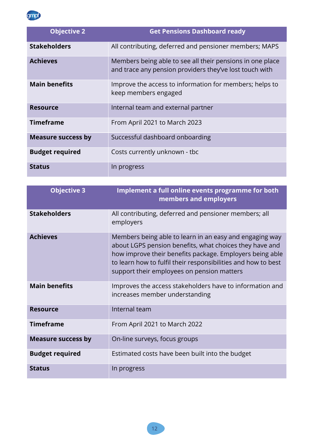

| <b>Objective 2</b>        | <b>Get Pensions Dashboard ready</b>                                                                                  |
|---------------------------|----------------------------------------------------------------------------------------------------------------------|
| <b>Stakeholders</b>       | All contributing, deferred and pensioner members; MAPS                                                               |
| <b>Achieves</b>           | Members being able to see all their pensions in one place<br>and trace any pension providers they've lost touch with |
| <b>Main benefits</b>      | Improve the access to information for members; helps to<br>keep members engaged                                      |
| <b>Resource</b>           | Internal team and external partner                                                                                   |
| <b>Timeframe</b>          | From April 2021 to March 2023                                                                                        |
| <b>Measure success by</b> | Successful dashboard onboarding                                                                                      |
| <b>Budget required</b>    | Costs currently unknown - tbc                                                                                        |
| <b>Status</b>             | In progress                                                                                                          |

| <b>Objective 3</b>        | <b>Implement a full online events programme for both</b><br>members and employers                                                                                                                                                                                                             |
|---------------------------|-----------------------------------------------------------------------------------------------------------------------------------------------------------------------------------------------------------------------------------------------------------------------------------------------|
| <b>Stakeholders</b>       | All contributing, deferred and pensioner members; all<br>employers                                                                                                                                                                                                                            |
| <b>Achieves</b>           | Members being able to learn in an easy and engaging way<br>about LGPS pension benefits, what choices they have and<br>how improve their benefits package. Employers being able<br>to learn how to fulfil their responsibilities and how to best<br>support their employees on pension matters |
| <b>Main benefits</b>      | Improves the access stakeholders have to information and<br>increases member understanding                                                                                                                                                                                                    |
| <b>Resource</b>           | Internal team                                                                                                                                                                                                                                                                                 |
| <b>Timeframe</b>          | From April 2021 to March 2022                                                                                                                                                                                                                                                                 |
| <b>Measure success by</b> | On-line surveys, focus groups                                                                                                                                                                                                                                                                 |
| <b>Budget required</b>    | Estimated costs have been built into the budget                                                                                                                                                                                                                                               |
| <b>Status</b>             | In progress                                                                                                                                                                                                                                                                                   |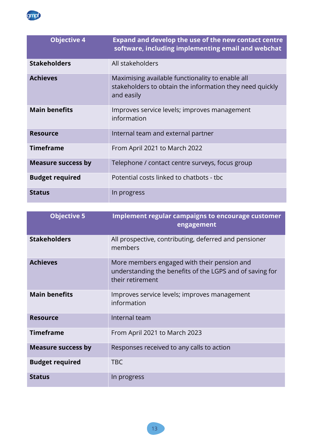

| <b>Objective 4</b>        | <b>Expand and develop the use of the new contact centre</b><br>software, including implementing email and webchat          |
|---------------------------|----------------------------------------------------------------------------------------------------------------------------|
| <b>Stakeholders</b>       | All stakeholders                                                                                                           |
| <b>Achieves</b>           | Maximising available functionality to enable all<br>stakeholders to obtain the information they need quickly<br>and easily |
| <b>Main benefits</b>      | Improves service levels; improves management<br>information                                                                |
| <b>Resource</b>           | Internal team and external partner                                                                                         |
| <b>Timeframe</b>          | From April 2021 to March 2022                                                                                              |
| <b>Measure success by</b> | Telephone / contact centre surveys, focus group                                                                            |
| <b>Budget required</b>    | Potential costs linked to chatbots - tbc                                                                                   |
| <b>Status</b>             | In progress                                                                                                                |

| <b>Objective 5</b>        | <b>Implement regular campaigns to encourage customer</b><br>engagement                                                      |
|---------------------------|-----------------------------------------------------------------------------------------------------------------------------|
| <b>Stakeholders</b>       | All prospective, contributing, deferred and pensioner<br>members                                                            |
| <b>Achieves</b>           | More members engaged with their pension and<br>understanding the benefits of the LGPS and of saving for<br>their retirement |
| <b>Main benefits</b>      | Improves service levels; improves management<br>information                                                                 |
| <b>Resource</b>           | Internal team                                                                                                               |
| <b>Timeframe</b>          | From April 2021 to March 2023                                                                                               |
| <b>Measure success by</b> | Responses received to any calls to action                                                                                   |
| <b>Budget required</b>    | <b>TBC</b>                                                                                                                  |
| <b>Status</b>             | In progress                                                                                                                 |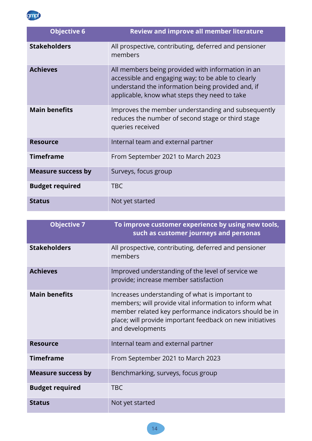

| <b>Objective 6</b>        | <b>Review and improve all member literature</b>                                                                                                                                                               |
|---------------------------|---------------------------------------------------------------------------------------------------------------------------------------------------------------------------------------------------------------|
| <b>Stakeholders</b>       | All prospective, contributing, deferred and pensioner<br>members                                                                                                                                              |
| <b>Achieves</b>           | All members being provided with information in an<br>accessible and engaging way; to be able to clearly<br>understand the information being provided and, if<br>applicable, know what steps they need to take |
| <b>Main benefits</b>      | Improves the member understanding and subsequently<br>reduces the number of second stage or third stage<br>queries received                                                                                   |
| <b>Resource</b>           | Internal team and external partner                                                                                                                                                                            |
| <b>Timeframe</b>          | From September 2021 to March 2023                                                                                                                                                                             |
| <b>Measure success by</b> | Surveys, focus group                                                                                                                                                                                          |
| <b>Budget required</b>    | <b>TBC</b>                                                                                                                                                                                                    |
| <b>Status</b>             | Not yet started                                                                                                                                                                                               |

| <b>Objective 7</b>        | To improve customer experience by using new tools,<br>such as customer journeys and personas                                                                                                                                                         |
|---------------------------|------------------------------------------------------------------------------------------------------------------------------------------------------------------------------------------------------------------------------------------------------|
| <b>Stakeholders</b>       | All prospective, contributing, deferred and pensioner<br>members                                                                                                                                                                                     |
| <b>Achieves</b>           | Improved understanding of the level of service we<br>provide; increase member satisfaction                                                                                                                                                           |
| <b>Main benefits</b>      | Increases understanding of what is important to<br>members; will provide vital information to inform what<br>member related key performance indicators should be in<br>place; will provide important feedback on new initiatives<br>and developments |
| <b>Resource</b>           | Internal team and external partner                                                                                                                                                                                                                   |
| <b>Timeframe</b>          | From September 2021 to March 2023                                                                                                                                                                                                                    |
| <b>Measure success by</b> | Benchmarking, surveys, focus group                                                                                                                                                                                                                   |
| <b>Budget required</b>    | <b>TBC</b>                                                                                                                                                                                                                                           |
| <b>Status</b>             | Not yet started                                                                                                                                                                                                                                      |